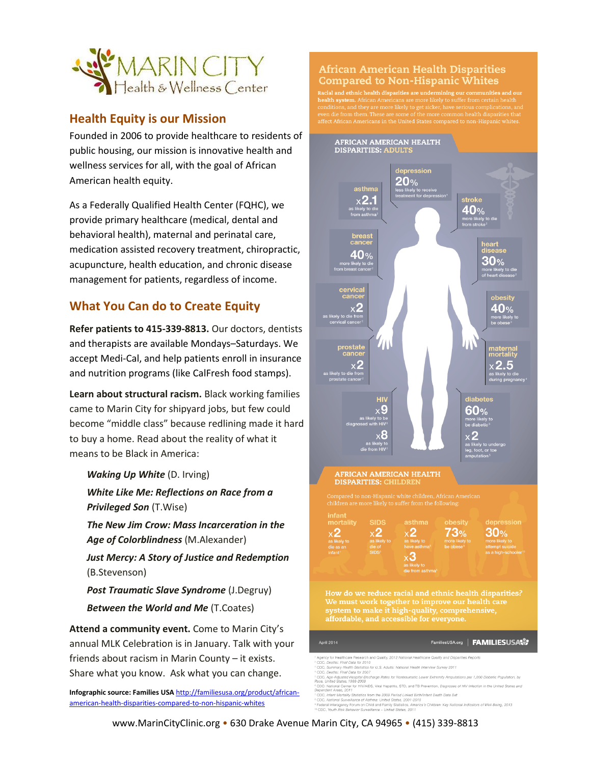

#### **Health Equity is our Mission**

Founded in 2006 to provide healthcare to residents of public housing, our mission is innovative health and wellness services for all, with the goal of African American health equity.

As a Federally Qualified Health Center (FQHC), we provide primary healthcare (medical, dental and behavioral health), maternal and perinatal care, medication assisted recovery treatment, chiropractic, acupuncture, health education, and chronic disease management for patients, regardless of income.

### **What You Can do to Create Equity**

**Refer patients to 415-339-8813.** Our doctors, dentists and therapists are available Mondays–Saturdays. We accept Medi-Cal, and help patients enroll in insurance and nutrition programs (like CalFresh food stamps).

**Learn about structural racism.** Black working families came to Marin City for shipyard jobs, but few could become "middle class" because redlining made it hard to buy a home. Read about the reality of what it means to be Black in America:

#### *Waking Up White* (D. Irving)

*White Like Me: Reflections on Race from a Privileged Son* (T.Wise)

*The New Jim Crow: Mass Incarceration in the Age of Colorblindness* (M.Alexander)

*Just Mercy: A Story of Justice and Redemption* (B.Stevenson)

*Post Traumatic Slave Syndrome* (J.Degruy) *Between the World and Me* (T.Coates)

**Attend a community event.** Come to Marin City's annual MLK Celebration is in January. Talk with your friends about racism in Marin County – it exists. Share what you know. Ask what you can change.

**Infographic source: Families USA** [http://familiesusa.org/product/african](http://familiesusa.org/product/african-american-health-disparities-compared-to-non-hispanic-whites)[american-health-disparities-compared-to-non-hispanic-whites](http://familiesusa.org/product/african-american-health-disparities-compared-to-non-hispanic-whites)

#### **African American Health Disparities Compared to Non-Hispanic Whites**

.<br>Racial and ethnic health disparities are undermining our communities and our waven and eumic meand uspenfuses are understiming our communities and our<br>health system. African Americans are more likely to suffer from certain health<br>conditions, and they are more likely to get sicker, have serious comp en die from them. These are some of the more common health disparities that<br>fect African Americans in the United States compared to non-Hispanic whites.



<sup>....&</sup>lt;br>Ilfu Statistics from the 2009 Period Linked Birth/Infant Death Data Set

www.MarinCityClinic.org • 630 Drake Avenue Marin City, CA 94965 • (415) 339-8813

ce of Asthma: United States, 2001-2010

Federal Interagency Forum on Child and Family Statistics, Ame<br>Federal Interagency Forum on Child and Family Statistics, Ame<br>CDC, Youth Risk Behavior Surveillance - United States, 2011 cs. 2012<br>cs, America's Children: Key National Indicators of Well-Being, 2013